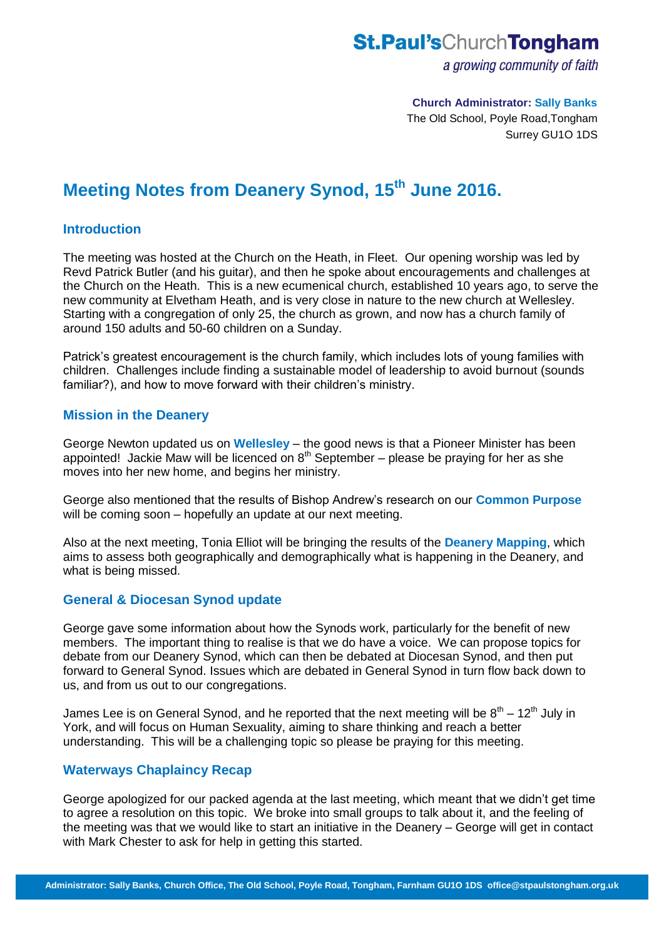## **St.Paul'sChurchTongham**

a growing community of faith

#### **Church Administrator: Sally Banks**

The Old School, Poyle Road,Tongham Surrey GU1O 1DS

# **Meeting Notes from Deanery Synod, 15th June 2016.**

#### **Introduction**

The meeting was hosted at the Church on the Heath, in Fleet. Our opening worship was led by Revd Patrick Butler (and his guitar), and then he spoke about encouragements and challenges at the Church on the Heath. This is a new ecumenical church, established 10 years ago, to serve the new community at Elvetham Heath, and is very close in nature to the new church at Wellesley. Starting with a congregation of only 25, the church as grown, and now has a church family of around 150 adults and 50-60 children on a Sunday.

Patrick's greatest encouragement is the church family, which includes lots of young families with children. Challenges include finding a sustainable model of leadership to avoid burnout (sounds familiar?), and how to move forward with their children's ministry.

#### **Mission in the Deanery**

George Newton updated us on **Wellesley** – the good news is that a Pioneer Minister has been appointed! Jackie Maw will be licenced on  $8<sup>th</sup>$  September – please be praying for her as she moves into her new home, and begins her ministry.

George also mentioned that the results of Bishop Andrew's research on our **Common Purpose** will be coming soon – hopefully an update at our next meeting.

Also at the next meeting, Tonia Elliot will be bringing the results of the **Deanery Mapping**, which aims to assess both geographically and demographically what is happening in the Deanery, and what is being missed.

#### **General & Diocesan Synod update**

George gave some information about how the Synods work, particularly for the benefit of new members. The important thing to realise is that we do have a voice. We can propose topics for debate from our Deanery Synod, which can then be debated at Diocesan Synod, and then put forward to General Synod. Issues which are debated in General Synod in turn flow back down to us, and from us out to our congregations.

James Lee is on General Synod, and he reported that the next meeting will be  $8^{th}$  – 12<sup>th</sup> July in York, and will focus on Human Sexuality, aiming to share thinking and reach a better understanding. This will be a challenging topic so please be praying for this meeting.

#### **Waterways Chaplaincy Recap**

George apologized for our packed agenda at the last meeting, which meant that we didn't get time to agree a resolution on this topic. We broke into small groups to talk about it, and the feeling of the meeting was that we would like to start an initiative in the Deanery – George will get in contact with Mark Chester to ask for help in getting this started.